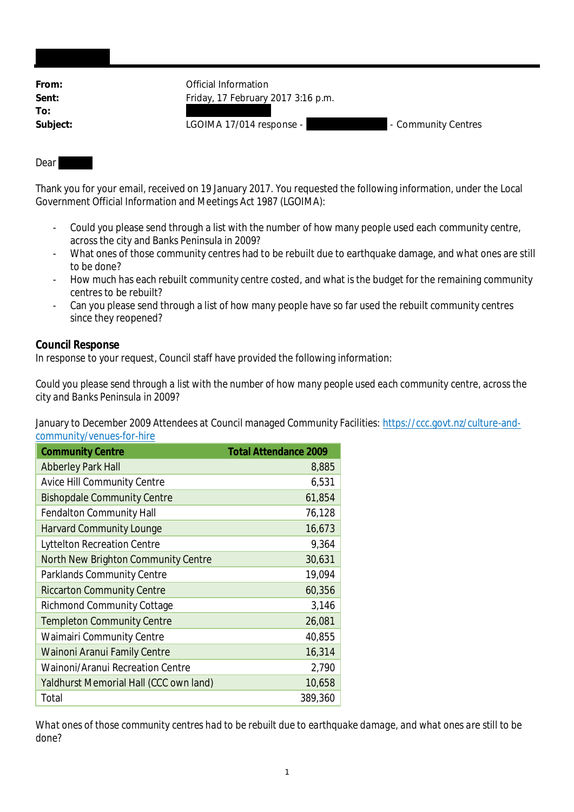| From:    | Official Information               |                     |
|----------|------------------------------------|---------------------|
| Sent:    | Friday, 17 February 2017 3:16 p.m. |                     |
| To:      |                                    |                     |
| Subject: | LGOIMA 17/014 response -           | - Community Centres |
|          |                                    |                     |

## Dear

Thank you for your email, received on 19 January 2017. You requested the following information, under the Local Government Official Information and Meetings Act 1987 (LGOIMA):

- Could you please send through a list with the number of how many people used each community centre, across the city and Banks Peninsula in 2009?
- What ones of those community centres had to be rebuilt due to earthquake damage, and what ones are still to be done?
- How much has each rebuilt community centre costed, and what is the budget for the remaining community centres to be rebuilt?
- Can you please send through a list of how many people have so far used the rebuilt community centres since they reopened?

## **Council Response**

In response to your request, Council staff have provided the following information:

*Could you please send through a list with the number of how many people used each community centre, across the city and Banks Peninsula in 2009?*

January to December 2009 Attendees at Council managed Community Facilities: https://ccc.govt.nz/culture-andcommunity/venues-for-hire

| <b>Community Centre</b>                 | <b>Total Attendance 2009</b> |
|-----------------------------------------|------------------------------|
| <b>Abberley Park Hall</b>               | 8,885                        |
| <b>Avice Hill Community Centre</b>      | 6,531                        |
| <b>Bishopdale Community Centre</b>      | 61,854                       |
| <b>Fendalton Community Hall</b>         | 76,128                       |
| <b>Harvard Community Lounge</b>         | 16,673                       |
| <b>Lyttelton Recreation Centre</b>      | 9,364                        |
| North New Brighton Community Centre     | 30,631                       |
| <b>Parklands Community Centre</b>       | 19,094                       |
| <b>Riccarton Community Centre</b>       | 60,356                       |
| <b>Richmond Community Cottage</b>       | 3,146                        |
| <b>Templeton Community Centre</b>       | 26,081                       |
| <b>Waimairi Community Centre</b>        | 40,855                       |
| <b>Wainoni Aranui Family Centre</b>     | 16,314                       |
| <b>Wainoni/Aranui Recreation Centre</b> | 2,790                        |
| Yaldhurst Memorial Hall (CCC own land)  | 10,658                       |
| Total                                   | 389,360                      |

*What ones of those community centres had to be rebuilt due to earthquake damage, and what ones are still to be done?*